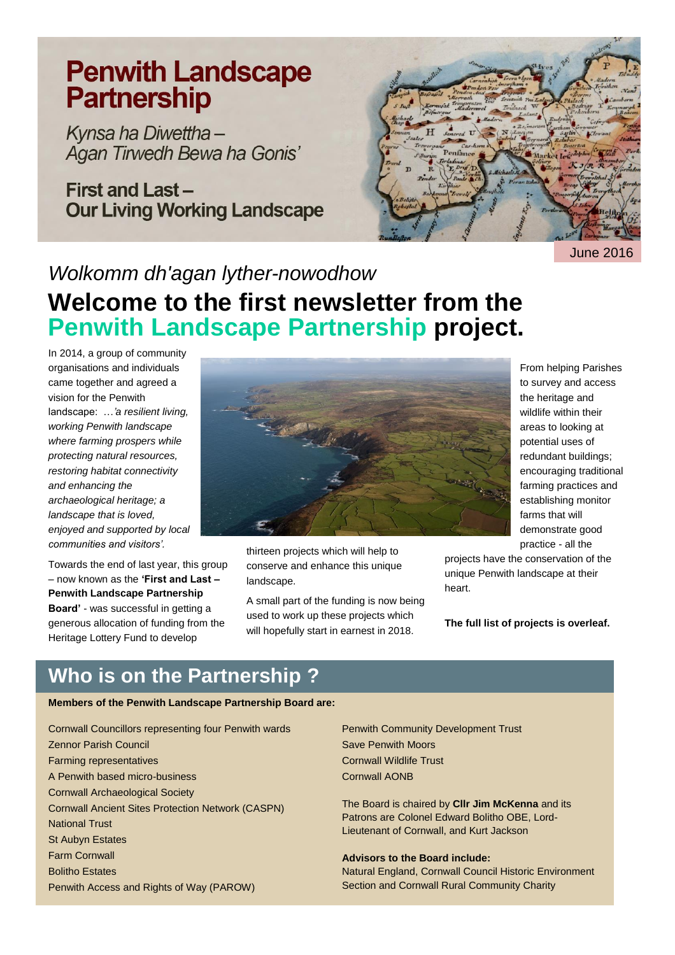# **Penwith Landscape Partnership**

Kynsa ha Diwettha-Agan Tirwedh Bewa ha Gonis'

**First and Last-Our Living Working Landscape** 



June 2016

# *Wolkomm dh'agan lyther-nowodhow*

## **Welcome to the first newsletter from the Penwith Landscape Partnership project.**

In 2014, a group of community organisations and individuals came together and agreed a vision for the Penwith landscape: …*'a resilient living, working Penwith landscape where farming prospers while protecting natural resources, restoring habitat connectivity and enhancing the archaeological heritage; a landscape that is loved, enjoyed and supported by local communities and visitors'.*

Towards the end of last year, this group – now known as the **'First and Last – Penwith Landscape Partnership Board'** - was successful in getting a generous allocation of funding from the Heritage Lottery Fund to develop



thirteen projects which will help to conserve and enhance this unique landscape.

A small part of the funding is now being used to work up these projects which will hopefully start in earnest in 2018.

From helping Parishes to survey and access the heritage and wildlife within their areas to looking at potential uses of redundant buildings; encouraging traditional farming practices and establishing monitor farms that will demonstrate good practice - all the

projects have the conservation of the unique Penwith landscape at their heart.

**The full list of projects is overleaf.**

### **Who is on the Partnership ?**

#### **Members of the Penwith Landscape Partnership Board are:**

Cornwall Councillors representing four Penwith wards Zennor Parish Council Farming representatives A Penwith based micro-business Cornwall Archaeological Society Cornwall Ancient Sites Protection Network (CASPN) National Trust St Aubyn Estates Farm Cornwall Bolitho Estates Penwith Access and Rights of Way (PAROW)

Penwith Community Development Trust Save Penwith Moors Cornwall Wildlife Trust Cornwall AONB

The Board is chaired by **Cllr Jim McKenna** and its Patrons are Colonel Edward Bolitho OBE, Lord-Lieutenant of Cornwall, and Kurt Jackson

#### **Advisors to the Board include:**

Natural England, Cornwall Council Historic Environment Section and Cornwall Rural Community Charity